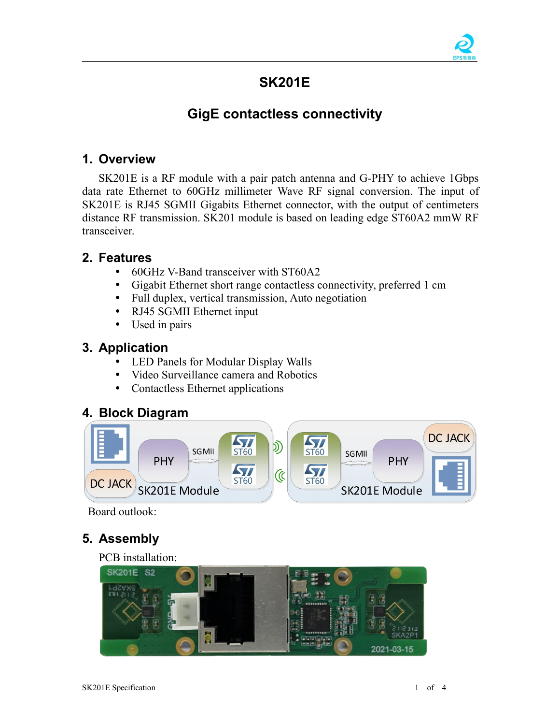

# **SK201E**

# **GigE contactless connectivity**

### **1. Overview**

SK201E is a RF module with a pair patch antenna and G-PHY to achieve 1Gbps data rate Ethernet to 60GHz millimeter Wave RF signal conversion. The input of SK201E is RJ45 SGMII Gigabits Ethernet connector, with the output of centimeters distance RF transmission. SK201 module is based on leading edge ST60A2 mmW RF transceiver.

### **2. Features**

- 60GHz V-Band transceiver with ST60A2
- Gigabit Ethernet short range contactless connectivity, preferred 1 cm
- Full duplex, vertical transmission, Auto negotiation
- RJ45 SGMII Ethernet input
- Used in pairs

### **3. Application**

- LED Panels for Modular Display Walls
- Video Surveillance camera and Robotics
- Contactless Ethernet applications

### **4. Block Diagram**



Board outlook:

## **5. Assembly**

#### PCB installation:

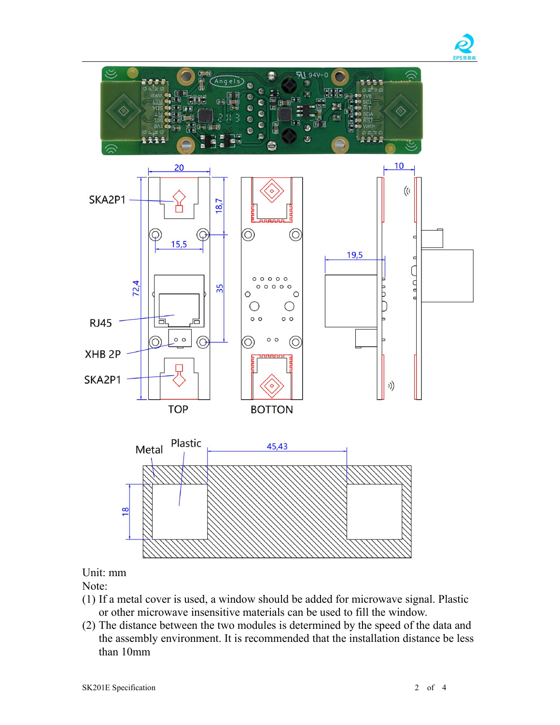



Unit: mm

Note:

- (1) If a metal cover is used, a window should be added for microwave signal. Plastic
- or other microwave insensitive materials can be used to fill the window.(2) The distance between the two modules is determined by the speed of the data and the assembly environment. It is recommended that the installation distance be less than 10mm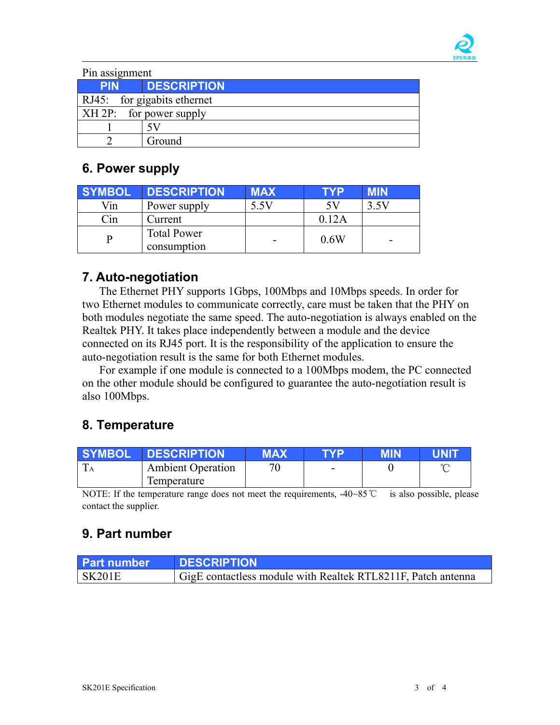

| Pin assignment              |                        |  |
|-----------------------------|------------------------|--|
|                             | <b>PIN DESCRIPTION</b> |  |
| RJ45: for gigabits ethernet |                        |  |
| $XH 2P$ : for power supply  |                        |  |
|                             |                        |  |
|                             | Ground                 |  |

# **6. Power supply**

| <b>SYMBOL</b> | <b>DESCRIPTION</b>                | <b>MAX</b>               | <b>TYP</b> | <b>MIN</b> |
|---------------|-----------------------------------|--------------------------|------------|------------|
| Vin           | Power supply                      | 5.5V                     | 5V         | 3.5V       |
| Cin           | Current                           |                          | 0.12A      |            |
|               | <b>Total Power</b><br>consumption | $\overline{\phantom{0}}$ | 0.6W       | ۰          |

## **7. Auto-negotiation**

The Ethernet PHY supports 1Gbps, 100Mbps and 10Mbps speeds. In order for two Ethernet modules to communicate correctly, care must be taken that the PHY on both modules negotiate the same speed. The auto-negotiation is always enabled on the Realtek PHY. It takes place independently between a module and the device connected on its RJ45 port. It is the responsibility of the application to ensure the auto-negotiation result is the same for both Ethernet modules.

For example if one module is connected to a 100Mbps modem, the PC connected on the other module should be configured to guarantee the auto-negotiation result is also 100Mbps.

# **8. Temperature**

| <b>SYMBOL</b>              | <b>DESCRIPTION</b>   | <b>MAV</b><br>MAA | TVD | <b>MIN</b> | <b>JNIT</b>           |
|----------------------------|----------------------|-------------------|-----|------------|-----------------------|
| $\mathbf{r}$<br><b>I</b> A | Ambient<br>Operation | 70<br>ν           | -   |            | $\sim$<br>$\check{ }$ |
|                            | Temperature          |                   |     |            |                       |

NOTE: If the temperature range does not meet the requirements, -40~85℃ is also possible, please contact the supplier.

## **9. Part number**

| <b>Part number</b> | <b>DESCRIPTION</b>                                           |
|--------------------|--------------------------------------------------------------|
| <b>SK201E</b>      | GigE contactless module with Realtek RTL8211F, Patch antenna |